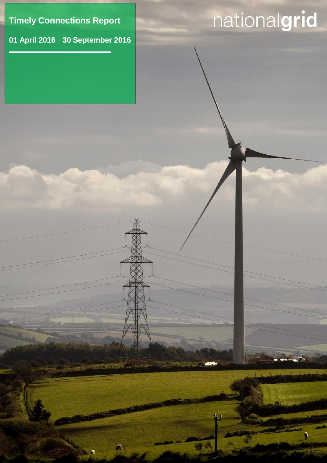**Timely Connections Report**

**01 April 2016** – **30 September 2016**

 $\bullet$ 

<u>, п</u>

# nationalgrid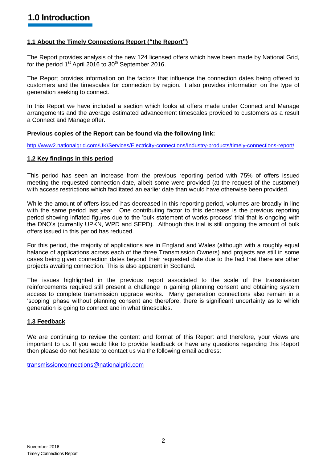# **1.1 About the Timely Connections Report ("the Report")**

The Report provides analysis of the new 124 licensed offers which have been made by National Grid, for the period 1<sup>st</sup> April 2016 to 30<sup>th</sup> September 2016.

The Report provides information on the factors that influence the connection dates being offered to customers and the timescales for connection by region. It also provides information on the type of generation seeking to connect.

In this Report we have included a section which looks at offers made under Connect and Manage arrangements and the average estimated advancement timescales provided to customers as a result a Connect and Manage offer.

#### **Previous copies of the Report can be found via the following link:**

<http://www2.nationalgrid.com/UK/Services/Electricity-connections/Industry-products/timely-connections-report/>

#### **1.2 Key findings in this period**

This period has seen an increase from the previous reporting period with 75% of offers issued meeting the requested connection date, albeit some were provided (at the request of the customer) with access restrictions which facilitated an earlier date than would have otherwise been provided.

While the amount of offers issued has decreased in this reporting period, volumes are broadly in line with the same period last year. One contributing factor to this decrease is the previous reporting period showing inflated figures due to the 'bulk statement of works process' trial that is ongoing with the DNO's (currently UPKN, WPD and SEPD). Although this trial is still ongoing the amount of bulk offers issued in this period has reduced.

For this period, the majority of applications are in England and Wales (although with a roughly equal balance of applications across each of the three Transmission Owners) and projects are still in some cases being given connection dates beyond their requested date due to the fact that there are other projects awaiting connection. This is also apparent in Scotland.

The issues highlighted in the previous report associated to the scale of the transmission reinforcements required still present a challenge in gaining planning consent and obtaining system access to complete transmission upgrade works. Many generation connections also remain in a 'scoping' phase without planning consent and therefore, there is significant uncertainty as to which generation is going to connect and in what timescales.

# **1.3 Feedback**

We are continuing to review the content and format of this Report and therefore, your views are important to us. If you would like to provide feedback or have any questions regarding this Report then please do not hesitate to contact us via the following email address:

[transmissionconnections@nationalgrid.com](mailto:transmissionconnections@nationalgrid.com)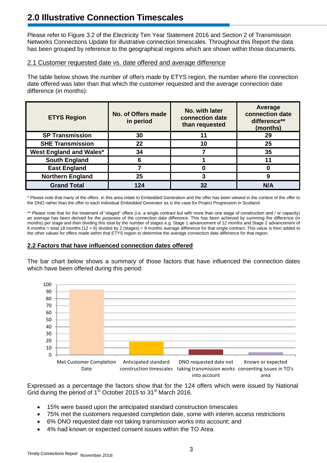# **2.0 Illustrative Connection Timescales**

Please refer to Figure 3.2 of the Electricity Ten Year Statement 2016 and Section 2 of Transmission Networks Connections Update for illustrative connection timescales. Throughout this Report the data has been grouped by reference to the geographical regions which are shown within those documents.

### 2.1 Customer requested date vs. date offered and average difference

The table below shows the number of offers made by ETYS region, the number where the connection date offered was later than that which the customer requested and the average connection date difference (in months):

| <b>ETYS Region</b>      | No. of Offers made<br>in period | No. with later<br>connection date<br>than requested | Average<br>connection date<br>difference**<br>(months) |  |
|-------------------------|---------------------------------|-----------------------------------------------------|--------------------------------------------------------|--|
| <b>SP Transmission</b>  | 30                              | 11                                                  | 29                                                     |  |
| <b>SHE Transmission</b> | 22                              | 10                                                  | 25                                                     |  |
| West England and Wales* | 34                              |                                                     | 35                                                     |  |
| <b>South England</b>    |                                 |                                                     |                                                        |  |
| <b>East England</b>     |                                 |                                                     |                                                        |  |
| <b>Northern England</b> | 25                              | 3                                                   | 9                                                      |  |
| <b>Grand Total</b>      | 124                             | 32                                                  | N/A                                                    |  |

\* Please note that many of the offers in this area relate to Embedded Generation and the offer has been viewed in the context of the offer to the DNO rather than the offer to each individual Embedded Generator as is the case for Project Progression in Scotland.

\*\* Please note that for the treatment of "staged" offers (i.e. a single contract but with more than one stage of construction and / or capacity) an average has been derived for the purposes of the connection date difference. This has been achieved by summing the difference (in months) per stage and then dividing this total by the number of stages e.g. Stage 1 advancement of 12 months and Stage 2 advancement of 6 months = total 18 months (12 + 6) divided by 2 (stages) = 9 months average difference for that single contract. This value is then added to the other values for offers made within that ETYS region to determine the average connection date difference for that region.

#### **2.2 Factors that have influenced connection dates offered**

The bar chart below shows a summary of those factors that have influenced the connection dates which have been offered during this period:



Expressed as a percentage the factors show that for the 124 offers which were issued by National Grid during the period of  $1^{st}$  October 2015 to 31<sup>st</sup> March 2016.

- 15% were based upon the anticipated standard construction timescales
- 75% met the customers requested completion date, some with interim access restrictions
- 6% DNO requested date not taking transmission works into account; and
- 4% had known or expected consent issues within the TO Area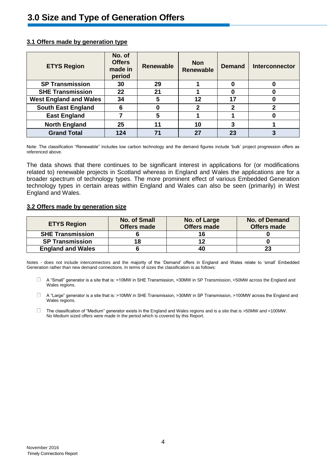| <b>ETYS Region</b>            | No. of<br><b>Offers</b><br>made in<br>period | <b>Renewable</b> | <b>Non</b><br><b>Renewable</b> | <b>Demand</b> | <b>Interconnector</b> |
|-------------------------------|----------------------------------------------|------------------|--------------------------------|---------------|-----------------------|
| <b>SP Transmission</b>        | 30                                           | 29               |                                | 0             |                       |
| <b>SHE Transmission</b>       | 22                                           | 21               |                                |               |                       |
| <b>West England and Wales</b> | 34                                           | 5                | 12                             | 17            |                       |
| <b>South East England</b>     | 6                                            |                  | 2                              | $\mathbf{2}$  | າ                     |
| <b>East England</b>           |                                              | 5                |                                |               |                       |
| <b>North England</b>          | 25                                           | 11               | 10                             | 3             |                       |
| <b>Grand Total</b>            | 124                                          | 71               | 27                             | 23            |                       |

#### **3.1 Offers made by generation type**

Note: The classification "Renewable" includes low carbon technology and the demand figures include 'bulk' project progression offers as referenced above.

The data shows that there continues to be significant interest in applications for (or modifications related to) renewable projects in Scotland whereas in England and Wales the applications are for a broader spectrum of technology types. The more prominent effect of various Embedded Generation technology types in certain areas within England and Wales can also be seen (primarily) in West England and Wales.

#### **3.2 Offers made by generation size**

| <b>ETYS Region</b>       | <b>No. of Small</b><br><b>Offers made</b> | No. of Large<br><b>Offers made</b> | No. of Demand<br><b>Offers made</b> |
|--------------------------|-------------------------------------------|------------------------------------|-------------------------------------|
| <b>SHE Transmission</b>  |                                           | 16                                 |                                     |
| <b>SP Transmission</b>   | 18                                        | 12                                 |                                     |
| <b>England and Wales</b> |                                           | 40                                 | 23                                  |

Notes - does not include interconnectors and the majority of the 'Demand' offers in England and Wales relate to 'small' Embedded Generation rather than new demand connections. In terms of sizes the classification is as follows:

 $\Box$ A "Small" generator is a site that is: <10MW in SHE Transmission, <30MW in SP Transmission, <50MW across the England and Wales regions.

 $\Box$ A "Large" generator is a site that is: >10MW in SHE Transmission, >30MW in SP Transmission, >100MW across the England and Wales regions.

 $\Box$ The classification of "Medium" generator exists in the England and Wales regions and is a site that is >50MW and <100MW. No Medium sized offers were made in the period which is covered by this Report.